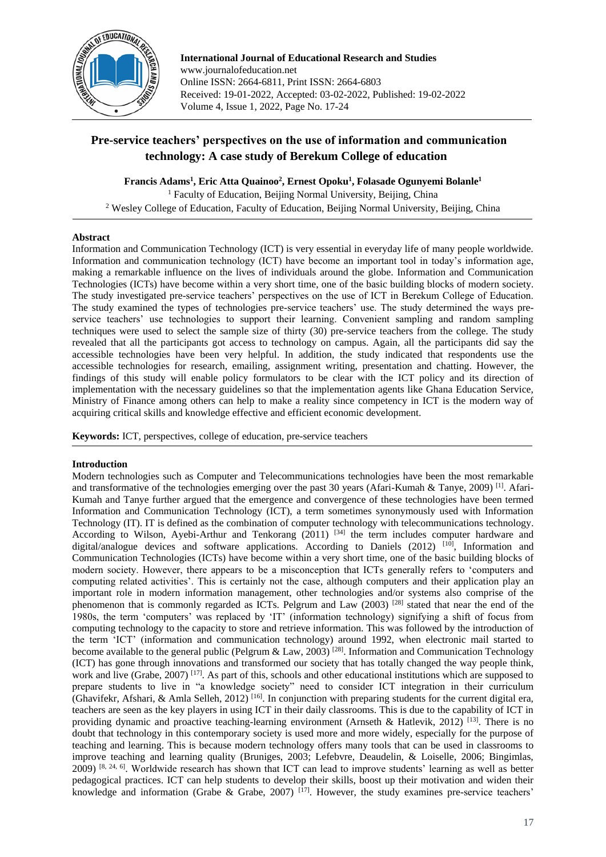

**International Journal of Educational Research and Studies** www.journalofeducation.net Online ISSN: 2664-6811, Print ISSN: 2664-6803 Received: 19-01-2022, Accepted: 03-02-2022, Published: 19-02-2022 Volume 4, Issue 1, 2022, Page No. 17-24

# **Pre-service teachers' perspectives on the use of information and communication technology: A case study of Berekum College of education**

**Francis Adams<sup>1</sup> , Eric Atta Quainoo<sup>2</sup> , Ernest Opoku<sup>1</sup> , Folasade Ogunyemi Bolanle<sup>1</sup>**

<sup>1</sup> Faculty of Education, Beijing Normal University, Beijing, China <sup>2</sup> Wesley College of Education, Faculty of Education, Beijing Normal University, Beijing, China

# **Abstract**

Information and Communication Technology (ICT) is very essential in everyday life of many people worldwide. Information and communication technology (ICT) have become an important tool in today's information age, making a remarkable influence on the lives of individuals around the globe. Information and Communication Technologies (ICTs) have become within a very short time, one of the basic building blocks of modern society. The study investigated pre-service teachers' perspectives on the use of ICT in Berekum College of Education. The study examined the types of technologies pre-service teachers' use. The study determined the ways preservice teachers' use technologies to support their learning. Convenient sampling and random sampling techniques were used to select the sample size of thirty (30) pre-service teachers from the college. The study revealed that all the participants got access to technology on campus. Again, all the participants did say the accessible technologies have been very helpful. In addition, the study indicated that respondents use the accessible technologies for research, emailing, assignment writing, presentation and chatting. However, the findings of this study will enable policy formulators to be clear with the ICT policy and its direction of implementation with the necessary guidelines so that the implementation agents like Ghana Education Service, Ministry of Finance among others can help to make a reality since competency in ICT is the modern way of acquiring critical skills and knowledge effective and efficient economic development.

**Keywords:** ICT, perspectives, college of education, pre-service teachers

# **Introduction**

Modern technologies such as Computer and Telecommunications technologies have been the most remarkable and transformative of the technologies emerging over the past 30 years (Afari-Kumah & Tanye, 2009) [1]. Afari-Kumah and Tanye further argued that the emergence and convergence of these technologies have been termed Information and Communication Technology (ICT), a term sometimes synonymously used with Information Technology (IT). IT is defined as the combination of computer technology with telecommunications technology. According to Wilson, Ayebi-Arthur and Tenkorang  $(2011)^{34}$  the term includes computer hardware and digital/analogue devices and software applications. According to Daniels  $(2012)$  [10], Information and Communication Technologies (ICTs) have become within a very short time, one of the basic building blocks of modern society. However, there appears to be a misconception that ICTs generally refers to 'computers and computing related activities'. This is certainly not the case, although computers and their application play an important role in modern information management, other technologies and/or systems also comprise of the phenomenon that is commonly regarded as ICTs. Pelgrum and Law (2003) <sup>[28]</sup> stated that near the end of the 1980s, the term 'computers' was replaced by 'IT' (information technology) signifying a shift of focus from computing technology to the capacity to store and retrieve information. This was followed by the introduction of the term 'ICT' (information and communication technology) around 1992, when electronic mail started to become available to the general public (Pelgrum & Law, 2003)<sup>[28]</sup>. Information and Communication Technology (ICT) has gone through innovations and transformed our society that has totally changed the way people think, work and live (Grabe, 2007)<sup>[17]</sup>. As part of this, schools and other educational institutions which are supposed to prepare students to live in "a knowledge society" need to consider ICT integration in their curriculum (Ghavifekr, Afshari, & Amla Selleh, 2012)<sup>[16]</sup>. In conjunction with preparing students for the current digital era, teachers are seen as the key players in using ICT in their daily classrooms. This is due to the capability of ICT in providing dynamic and proactive teaching-learning environment (Arnseth & Hatlevik, 2012) <sup>[13]</sup>. There is no doubt that technology in this contemporary society is used more and more widely, especially for the purpose of teaching and learning. This is because modern technology offers many tools that can be used in classrooms to improve teaching and learning quality (Bruniges, 2003; Lefebvre, Deaudelin, & Loiselle, 2006; Bingimlas, 2009) [8, 24, 6]. Worldwide research has shown that ICT can lead to improve students' learning as well as better pedagogical practices. ICT can help students to develop their skills, boost up their motivation and widen their knowledge and information (Grabe & Grabe, 2007)  $[17]$ . However, the study examines pre-service teachers'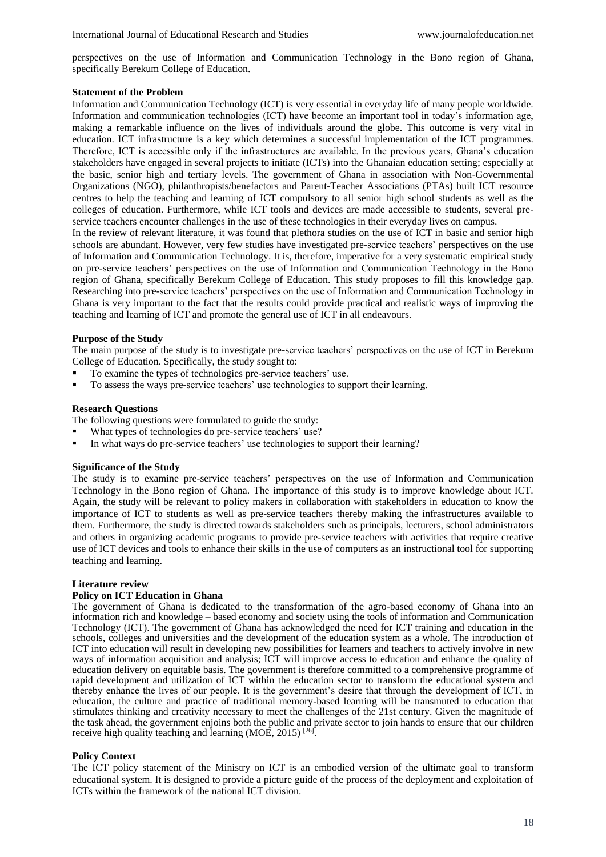perspectives on the use of Information and Communication Technology in the Bono region of Ghana, specifically Berekum College of Education.

## **Statement of the Problem**

Information and Communication Technology (ICT) is very essential in everyday life of many people worldwide. Information and communication technologies (ICT) have become an important tool in today's information age, making a remarkable influence on the lives of individuals around the globe. This outcome is very vital in education. ICT infrastructure is a key which determines a successful implementation of the ICT programmes. Therefore, ICT is accessible only if the infrastructures are available. In the previous years, Ghana's education stakeholders have engaged in several projects to initiate (ICTs) into the Ghanaian education setting; especially at the basic, senior high and tertiary levels. The government of Ghana in association with Non-Governmental Organizations (NGO), philanthropists/benefactors and Parent-Teacher Associations (PTAs) built ICT resource centres to help the teaching and learning of ICT compulsory to all senior high school students as well as the colleges of education. Furthermore, while ICT tools and devices are made accessible to students, several preservice teachers encounter challenges in the use of these technologies in their everyday lives on campus.

In the review of relevant literature, it was found that plethora studies on the use of ICT in basic and senior high schools are abundant. However, very few studies have investigated pre-service teachers' perspectives on the use of Information and Communication Technology. It is, therefore, imperative for a very systematic empirical study on pre-service teachers' perspectives on the use of Information and Communication Technology in the Bono region of Ghana, specifically Berekum College of Education. This study proposes to fill this knowledge gap. Researching into pre-service teachers' perspectives on the use of Information and Communication Technology in Ghana is very important to the fact that the results could provide practical and realistic ways of improving the teaching and learning of ICT and promote the general use of ICT in all endeavours.

## **Purpose of the Study**

The main purpose of the study is to investigate pre-service teachers' perspectives on the use of ICT in Berekum College of Education. Specifically, the study sought to:

- To examine the types of technologies pre-service teachers' use.
- To assess the ways pre-service teachers' use technologies to support their learning.

## **Research Questions**

The following questions were formulated to guide the study:

- What types of technologies do pre-service teachers' use?
- In what ways do pre-service teachers' use technologies to support their learning?

### **Significance of the Study**

The study is to examine pre-service teachers' perspectives on the use of Information and Communication Technology in the Bono region of Ghana. The importance of this study is to improve knowledge about ICT. Again, the study will be relevant to policy makers in collaboration with stakeholders in education to know the importance of ICT to students as well as pre-service teachers thereby making the infrastructures available to them. Furthermore, the study is directed towards stakeholders such as principals, lecturers, school administrators and others in organizing academic programs to provide pre-service teachers with activities that require creative use of ICT devices and tools to enhance their skills in the use of computers as an instructional tool for supporting teaching and learning.

### **Literature review**

### **Policy on ICT Education in Ghana**

The government of Ghana is dedicated to the transformation of the agro-based economy of Ghana into an information rich and knowledge – based economy and society using the tools of information and Communication Technology (ICT). The government of Ghana has acknowledged the need for ICT training and education in the schools, colleges and universities and the development of the education system as a whole. The introduction of ICT into education will result in developing new possibilities for learners and teachers to actively involve in new ways of information acquisition and analysis; ICT will improve access to education and enhance the quality of education delivery on equitable basis. The government is therefore committed to a comprehensive programme of rapid development and utilization of ICT within the education sector to transform the educational system and thereby enhance the lives of our people. It is the government's desire that through the development of ICT, in education, the culture and practice of traditional memory-based learning will be transmuted to education that stimulates thinking and creativity necessary to meet the challenges of the 21st century. Given the magnitude of the task ahead, the government enjoins both the public and private sector to join hands to ensure that our children receive high quality teaching and learning (MOE, 2015)  $^{[26]}$ .

# **Policy Context**

The ICT policy statement of the Ministry on ICT is an embodied version of the ultimate goal to transform educational system. It is designed to provide a picture guide of the process of the deployment and exploitation of ICTs within the framework of the national ICT division.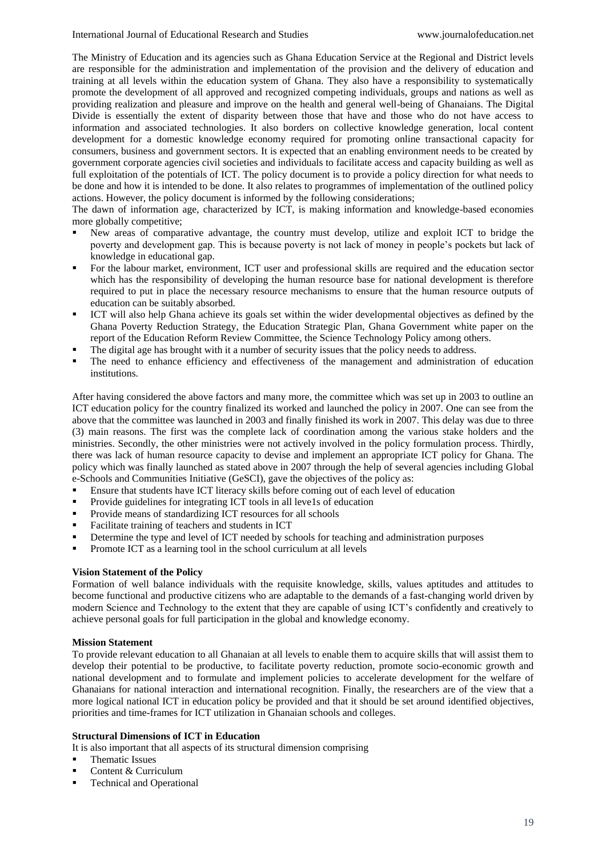The Ministry of Education and its agencies such as Ghana Education Service at the Regional and District levels are responsible for the administration and implementation of the provision and the delivery of education and training at all levels within the education system of Ghana. They also have a responsibility to systematically promote the development of all approved and recognized competing individuals, groups and nations as well as providing realization and pleasure and improve on the health and general well-being of Ghanaians. The Digital Divide is essentially the extent of disparity between those that have and those who do not have access to information and associated technologies. It also borders on collective knowledge generation, local content development for a domestic knowledge economy required for promoting online transactional capacity for consumers, business and government sectors. It is expected that an enabling environment needs to be created by government corporate agencies civil societies and individuals to facilitate access and capacity building as well as full exploitation of the potentials of ICT. The policy document is to provide a policy direction for what needs to be done and how it is intended to be done. It also relates to programmes of implementation of the outlined policy actions. However, the policy document is informed by the following considerations;

The dawn of information age, characterized by ICT, is making information and knowledge-based economies more globally competitive;

- New areas of comparative advantage, the country must develop, utilize and exploit ICT to bridge the poverty and development gap. This is because poverty is not lack of money in people's pockets but lack of knowledge in educational gap.
- For the labour market, environment, ICT user and professional skills are required and the education sector which has the responsibility of developing the human resource base for national development is therefore required to put in place the necessary resource mechanisms to ensure that the human resource outputs of education can be suitably absorbed.
- ICT will also help Ghana achieve its goals set within the wider developmental objectives as defined by the Ghana Poverty Reduction Strategy, the Education Strategic Plan, Ghana Government white paper on the report of the Education Reform Review Committee, the Science Technology Policy among others.
- The digital age has brought with it a number of security issues that the policy needs to address.
- The need to enhance efficiency and effectiveness of the management and administration of education institutions.

After having considered the above factors and many more, the committee which was set up in 2003 to outline an ICT education policy for the country finalized its worked and launched the policy in 2007. One can see from the above that the committee was launched in 2003 and finally finished its work in 2007. This delay was due to three (3) main reasons. The first was the complete lack of coordination among the various stake holders and the ministries. Secondly, the other ministries were not actively involved in the policy formulation process. Thirdly, there was lack of human resource capacity to devise and implement an appropriate ICT policy for Ghana. The policy which was finally launched as stated above in 2007 through the help of several agencies including Global e-Schools and Communities Initiative (GeSCI), gave the objectives of the policy as:

- Ensure that students have ICT literacy skills before coming out of each level of education
- Provide guidelines for integrating ICT tools in all leve1s of education
- Provide means of standardizing ICT resources for all schools
- Facilitate training of teachers and students in ICT
- **•** Determine the type and level of ICT needed by schools for teaching and administration purposes
- Promote ICT as a learning tool in the school curriculum at all levels

### **Vision Statement of the Policy**

Formation of well balance individuals with the requisite knowledge, skills, values aptitudes and attitudes to become functional and productive citizens who are adaptable to the demands of a fast-changing world driven by modern Science and Technology to the extent that they are capable of using ICT's confidently and creatively to achieve personal goals for full participation in the global and knowledge economy.

### **Mission Statement**

To provide relevant education to all Ghanaian at all levels to enable them to acquire skills that will assist them to develop their potential to be productive, to facilitate poverty reduction, promote socio-economic growth and national development and to formulate and implement policies to accelerate development for the welfare of Ghanaians for national interaction and international recognition. Finally, the researchers are of the view that a more logical national ICT in education policy be provided and that it should be set around identified objectives, priorities and time-frames for ICT utilization in Ghanaian schools and colleges.

### **Structural Dimensions of ICT in Education**

It is also important that all aspects of its structural dimension comprising

- Thematic Issues
- Content & Curriculum
- Technical and Operational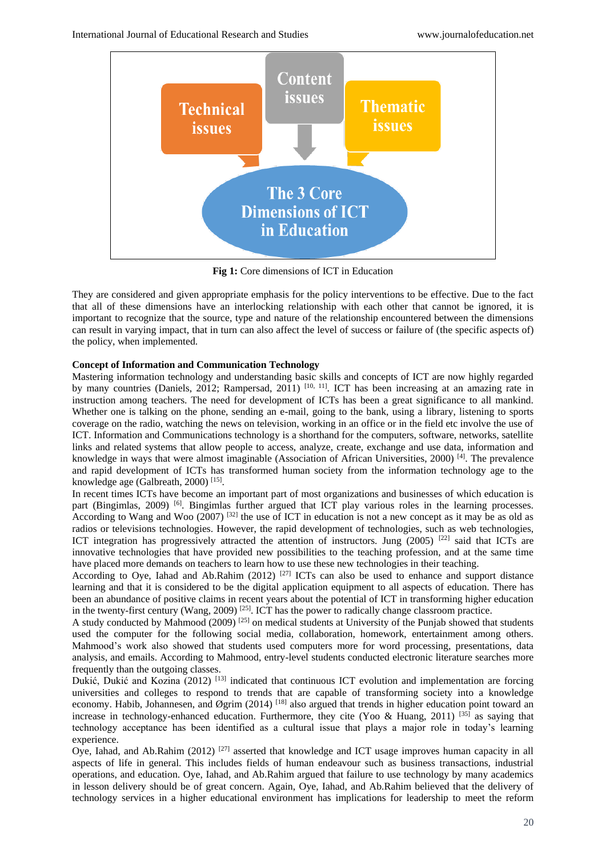

**Fig 1:** Core dimensions of ICT in Education

They are considered and given appropriate emphasis for the policy interventions to be effective. Due to the fact that all of these dimensions have an interlocking relationship with each other that cannot be ignored, it is important to recognize that the source, type and nature of the relationship encountered between the dimensions can result in varying impact, that in turn can also affect the level of success or failure of (the specific aspects of) the policy, when implemented.

# **Concept of Information and Communication Technology**

Mastering information technology and understanding basic skills and concepts of ICT are now highly regarded by many countries (Daniels, 2012; Rampersad, 2011) <sup>[10, 11]</sup>. ICT has been increasing at an amazing rate in instruction among teachers. The need for development of ICTs has been a great significance to all mankind. Whether one is talking on the phone, sending an e-mail, going to the bank, using a library, listening to sports coverage on the radio, watching the news on television, working in an office or in the field etc involve the use of ICT. Information and Communications technology is a shorthand for the computers, software, networks, satellite links and related systems that allow people to access, analyze, create, exchange and use data, information and knowledge in ways that were almost imaginable (Association of African Universities, 2000) [4]. The prevalence and rapid development of ICTs has transformed human society from the information technology age to the knowledge age (Galbreath, 2000)<sup>[15]</sup>.

In recent times ICTs have become an important part of most organizations and businesses of which education is part (Bingimlas, 2009) <sup>[6]</sup>. Bingimlas further argued that ICT play various roles in the learning processes. According to Wang and Woo (2007) [32] the use of ICT in education is not a new concept as it may be as old as radios or televisions technologies. However, the rapid development of technologies, such as web technologies, ICT integration has progressively attracted the attention of instructors. Jung (2005) <sup>[22]</sup> said that ICTs are innovative technologies that have provided new possibilities to the teaching profession, and at the same time have placed more demands on teachers to learn how to use these new technologies in their teaching.

According to Oye, Iahad and Ab.Rahim (2012) <sup>[27]</sup> ICTs can also be used to enhance and support distance learning and that it is considered to be the digital application equipment to all aspects of education. There has been an abundance of positive claims in recent years about the potential of ICT in transforming higher education in the twenty-first century (Wang, 2009)  $^{[25]}$ . ICT has the power to radically change classroom practice.

A study conducted by Mahmood (2009) <sup>[25]</sup> on medical students at University of the Punjab showed that students used the computer for the following social media, collaboration, homework, entertainment among others. Mahmood's work also showed that students used computers more for word processing, presentations, data analysis, and emails. According to Mahmood, entry-level students conducted electronic literature searches more frequently than the outgoing classes.

Dukić, Dukić and Kozina (2012)<sup>[13]</sup> indicated that continuous ICT evolution and implementation are forcing universities and colleges to respond to trends that are capable of transforming society into a knowledge economy. Habib, Johannesen, and Øgrim (2014) <sup>[18]</sup> also argued that trends in higher education point toward an increase in technology-enhanced education. Furthermore, they cite (Yoo & Huang, 2011) [35] as saying that technology acceptance has been identified as a cultural issue that plays a major role in today's learning experience.

Oye, Iahad, and Ab.Rahim (2012) <sup>[27]</sup> asserted that knowledge and ICT usage improves human capacity in all aspects of life in general. This includes fields of human endeavour such as business transactions, industrial operations, and education. Oye, Iahad, and Ab.Rahim argued that failure to use technology by many academics in lesson delivery should be of great concern. Again, Oye, Iahad, and Ab.Rahim believed that the delivery of technology services in a higher educational environment has implications for leadership to meet the reform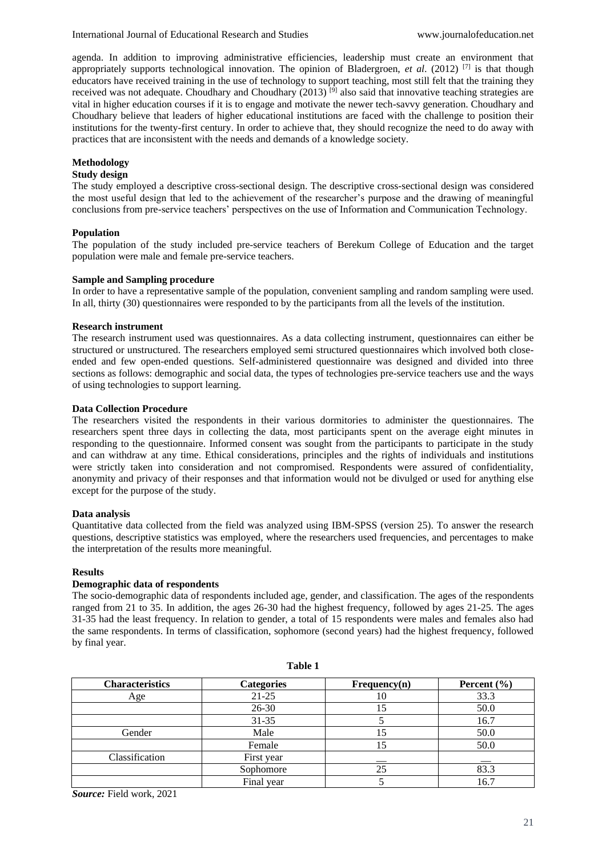agenda. In addition to improving administrative efficiencies, leadership must create an environment that appropriately supports technological innovation. The opinion of Bladergroen, *et al*. (2012) [7] is that though educators have received training in the use of technology to support teaching, most still felt that the training they received was not adequate. Choudhary and Choudhary (2013)<sup>[9]</sup> also said that innovative teaching strategies are vital in higher education courses if it is to engage and motivate the newer tech-savvy generation. Choudhary and Choudhary believe that leaders of higher educational institutions are faced with the challenge to position their institutions for the twenty-first century. In order to achieve that, they should recognize the need to do away with practices that are inconsistent with the needs and demands of a knowledge society.

# **Methodology**

# **Study design**

The study employed a descriptive cross-sectional design. The descriptive cross-sectional design was considered the most useful design that led to the achievement of the researcher's purpose and the drawing of meaningful conclusions from pre-service teachers' perspectives on the use of Information and Communication Technology.

## **Population**

The population of the study included pre-service teachers of Berekum College of Education and the target population were male and female pre-service teachers.

## **Sample and Sampling procedure**

In order to have a representative sample of the population, convenient sampling and random sampling were used. In all, thirty (30) questionnaires were responded to by the participants from all the levels of the institution.

## **Research instrument**

The research instrument used was questionnaires. As a data collecting instrument, questionnaires can either be structured or unstructured. The researchers employed semi structured questionnaires which involved both closeended and few open-ended questions. Self-administered questionnaire was designed and divided into three sections as follows: demographic and social data, the types of technologies pre-service teachers use and the ways of using technologies to support learning.

## **Data Collection Procedure**

The researchers visited the respondents in their various dormitories to administer the questionnaires. The researchers spent three days in collecting the data, most participants spent on the average eight minutes in responding to the questionnaire. Informed consent was sought from the participants to participate in the study and can withdraw at any time. Ethical considerations, principles and the rights of individuals and institutions were strictly taken into consideration and not compromised. Respondents were assured of confidentiality, anonymity and privacy of their responses and that information would not be divulged or used for anything else except for the purpose of the study.

### **Data analysis**

Quantitative data collected from the field was analyzed using IBM-SPSS (version 25). To answer the research questions, descriptive statistics was employed, where the researchers used frequencies, and percentages to make the interpretation of the results more meaningful.

### **Results**

# **Demographic data of respondents**

The socio-demographic data of respondents included age, gender, and classification. The ages of the respondents ranged from 21 to 35. In addition, the ages 26-30 had the highest frequency, followed by ages 21-25. The ages 31-35 had the least frequency. In relation to gender, a total of 15 respondents were males and females also had the same respondents. In terms of classification, sophomore (second years) had the highest frequency, followed by final year.

| <b>Characteristics</b> | <b>Categories</b> | Frequency(n) | Percent $(\% )$ |
|------------------------|-------------------|--------------|-----------------|
| Age                    | $21 - 25$         | 10           | 33.3            |
|                        | 26-30             | 15           | 50.0            |
|                        | $31 - 35$         |              | 16.7            |
| Gender                 | Male              | 15           | 50.0            |
|                        | Female            | l5           | 50.0            |
| Classification         | First year        |              |                 |
|                        | Sophomore         | 25           | 83.3            |
|                        | Final year        |              | 16.7            |

**Table 1**

*Source:* Field work, 2021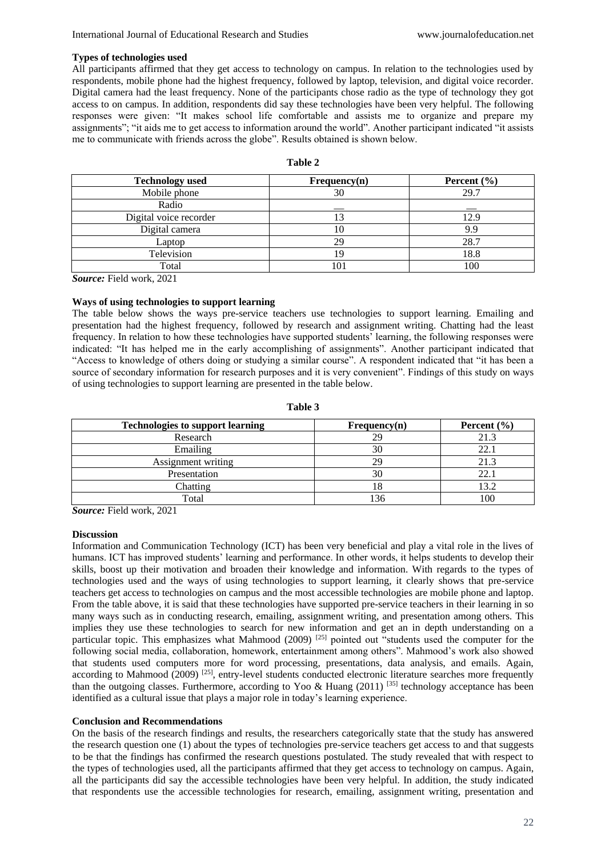### **Types of technologies used**

All participants affirmed that they get access to technology on campus. In relation to the technologies used by respondents, mobile phone had the highest frequency, followed by laptop, television, and digital voice recorder. Digital camera had the least frequency. None of the participants chose radio as the type of technology they got access to on campus. In addition, respondents did say these technologies have been very helpful. The following responses were given: "It makes school life comfortable and assists me to organize and prepare my assignments"; "it aids me to get access to information around the world". Another participant indicated "it assists me to communicate with friends across the globe". Results obtained is shown below.

| n | Ш<br>٠ |  |
|---|--------|--|
|   |        |  |

| <b>Technology</b> used | Frequency(n) | Percent $(\% )$ |
|------------------------|--------------|-----------------|
| Mobile phone           | 30           | 29.7            |
| Radio                  |              |                 |
| Digital voice recorder |              | 12.9            |
| Digital camera         |              | 9.9             |
| Laptop                 | 29.          | 28.7            |
| Television             |              | 18.8            |
| Total                  | 10           | 100             |

*Source:* Field work, 2021

## **Ways of using technologies to support learning**

The table below shows the ways pre-service teachers use technologies to support learning. Emailing and presentation had the highest frequency, followed by research and assignment writing. Chatting had the least frequency. In relation to how these technologies have supported students' learning, the following responses were indicated: "It has helped me in the early accomplishing of assignments". Another participant indicated that "Access to knowledge of others doing or studying a similar course". A respondent indicated that "it has been a source of secondary information for research purposes and it is very convenient". Findings of this study on ways of using technologies to support learning are presented in the table below.

| <b>Technologies to support learning</b> | Frequency(n) | Percent $(\% )$ |
|-----------------------------------------|--------------|-----------------|
| Research                                | 29           | 21.3            |
| Emailing                                | 30           | 22.             |
| Assignment writing                      | 29           | 21.3            |
| Presentation                            |              | 22.             |
| Chatting                                |              | 13.2            |
| Total                                   |              |                 |

**Table 3**

*Source:* Field work, 2021

### **Discussion**

Information and Communication Technology (ICT) has been very beneficial and play a vital role in the lives of humans. ICT has improved students' learning and performance. In other words, it helps students to develop their skills, boost up their motivation and broaden their knowledge and information. With regards to the types of technologies used and the ways of using technologies to support learning, it clearly shows that pre-service teachers get access to technologies on campus and the most accessible technologies are mobile phone and laptop. From the table above, it is said that these technologies have supported pre-service teachers in their learning in so many ways such as in conducting research, emailing, assignment writing, and presentation among others. This implies they use these technologies to search for new information and get an in depth understanding on a particular topic. This emphasizes what Mahmood (2009)  $^{[25]}$  pointed out "students used the computer for the following social media, collaboration, homework, entertainment among others". Mahmood's work also showed that students used computers more for word processing, presentations, data analysis, and emails. Again, according to Mahmood (2009)  $^{[25]}$ , entry-level students conducted electronic literature searches more frequently than the outgoing classes. Furthermore, according to Yoo & Huang (2011) <sup>[35]</sup> technology acceptance has been identified as a cultural issue that plays a major role in today's learning experience.

# **Conclusion and Recommendations**

On the basis of the research findings and results, the researchers categorically state that the study has answered the research question one (1) about the types of technologies pre-service teachers get access to and that suggests to be that the findings has confirmed the research questions postulated. The study revealed that with respect to the types of technologies used, all the participants affirmed that they get access to technology on campus. Again, all the participants did say the accessible technologies have been very helpful. In addition, the study indicated that respondents use the accessible technologies for research, emailing, assignment writing, presentation and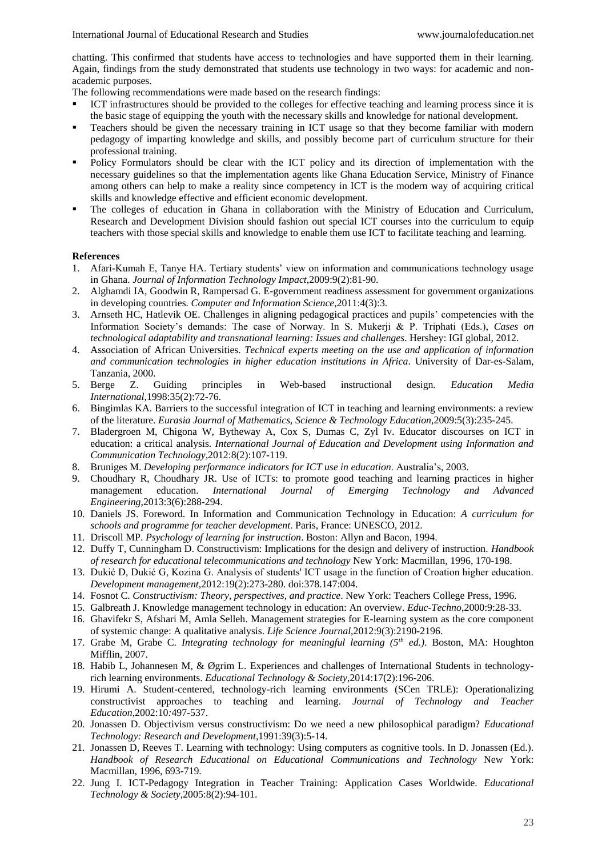chatting. This confirmed that students have access to technologies and have supported them in their learning. Again, findings from the study demonstrated that students use technology in two ways: for academic and nonacademic purposes.

The following recommendations were made based on the research findings:

- ICT infrastructures should be provided to the colleges for effective teaching and learning process since it is the basic stage of equipping the youth with the necessary skills and knowledge for national development.
- Teachers should be given the necessary training in ICT usage so that they become familiar with modern pedagogy of imparting knowledge and skills, and possibly become part of curriculum structure for their professional training.
- Policy Formulators should be clear with the ICT policy and its direction of implementation with the necessary guidelines so that the implementation agents like Ghana Education Service, Ministry of Finance among others can help to make a reality since competency in ICT is the modern way of acquiring critical skills and knowledge effective and efficient economic development.
- The colleges of education in Ghana in collaboration with the Ministry of Education and Curriculum, Research and Development Division should fashion out special ICT courses into the curriculum to equip teachers with those special skills and knowledge to enable them use ICT to facilitate teaching and learning.

# **References**

- 1. Afari-Kumah E, Tanye HA. Tertiary students' view on information and communications technology usage in Ghana. *Journal of Information Technology Impact*,2009:9(2):81-90.
- 2. Alghamdi IA, Goodwin R, Rampersad G. E-government readiness assessment for government organizations in developing countries. *Computer and Information Science*,2011:4(3):3.
- 3. Arnseth HC, Hatlevik OE. Challenges in aligning pedagogical practices and pupils' competencies with the Information Society's demands: The case of Norway. In S. Mukerji & P. Triphati (Eds.), *Cases on technological adaptability and transnational learning: Issues and challenges*. Hershey: IGI global, 2012.
- 4. Association of African Universities. *Technical experts meeting on the use and application of information and communication technologies in higher education institutions in Africa*. University of Dar-es-Salam, Tanzania, 2000.
- 5. Berge Z. Guiding principles in Web-based instructional design*. Education Media International*,1998:35(2):72-76.
- 6. Bingimlas KA. Barriers to the successful integration of ICT in teaching and learning environments: a review of the literature. *Eurasia Journal of Mathematics, Science & Technology Education*,2009:5(3):235-245.
- 7. Bladergroen M, Chigona W, Bytheway A, Cox S, Dumas C, Zyl Iv. Educator discourses on ICT in education: a critical analysis. *International Journal of Education and Development using Information and Communication Technology,*2012:8(2):107-119.
- 8. Bruniges M. *Developing performance indicators for ICT use in education*. Australia's, 2003.
- 9. Choudhary R, Choudhary JR. Use of ICTs: to promote good teaching and learning practices in higher management education. *International Journal of Emerging Technology and Advanced Engineering*,2013:3(6):288-294.
- 10. Daniels JS. Foreword. In Information and Communication Technology in Education: *A curriculum for schools and programme for teacher development*. Paris, France: UNESCO, 2012.
- 11. Driscoll MP. *Psychology of learning for instruction*. Boston: Allyn and Bacon, 1994.
- 12. Duffy T, Cunningham D. Constructivism: Implications for the design and delivery of instruction. *Handbook of research for educational telecommunications and technology* New York: Macmillan, 1996, 170-198.
- 13. Dukić D, Dukić G, Kozina G. Analysis of students' ICT usage in the function of Croation higher education. *Development management*,2012:19(2):273-280. doi:378.147:004.
- 14. Fosnot C. *Constructivism: Theory, perspectives, and practice*. New York: Teachers College Press, 1996.
- 15. Galbreath J. Knowledge management technology in education: An overview. *Educ-Techno*,2000:9:28-33.
- 16. Ghavifekr S, Afshari M, Amla Selleh. Management strategies for E-learning system as the core component of systemic change: A qualitative analysis. *Life Science Journal*,2012:9(3):2190-2196.
- 17. Grabe M, Grabe C. *Integrating technology for meaningful learning (5th ed.)*. Boston, MA: Houghton Mifflin, 2007.
- 18. Habib L, Johannesen M, & Øgrim L. Experiences and challenges of International Students in technologyrich learning environments. *Educational Technology & Society*,2014:17(2):196-206.
- 19. Hirumi A. Student-centered, technology-rich learning environments (SCen TRLE): Operationalizing constructivist approaches to teaching and learning. *Journal of Technology and Teacher Education*,2002:10*:*497-537.
- 20. Jonassen D. Objectivism versus constructivism: Do we need a new philosophical paradigm? *Educational Technology: Research and Development*,1991:39(3):5-14.
- 21. Jonassen D, Reeves T. Learning with technology: Using computers as cognitive tools. In D. Jonassen (Ed.). *Handbook of Research Educational on Educational Communications and Technology* New York: Macmillan, 1996, 693-719.
- 22. Jung I. ICT-Pedagogy Integration in Teacher Training: Application Cases Worldwide. *Educational Technology & Society*,2005:8(2):94-101.